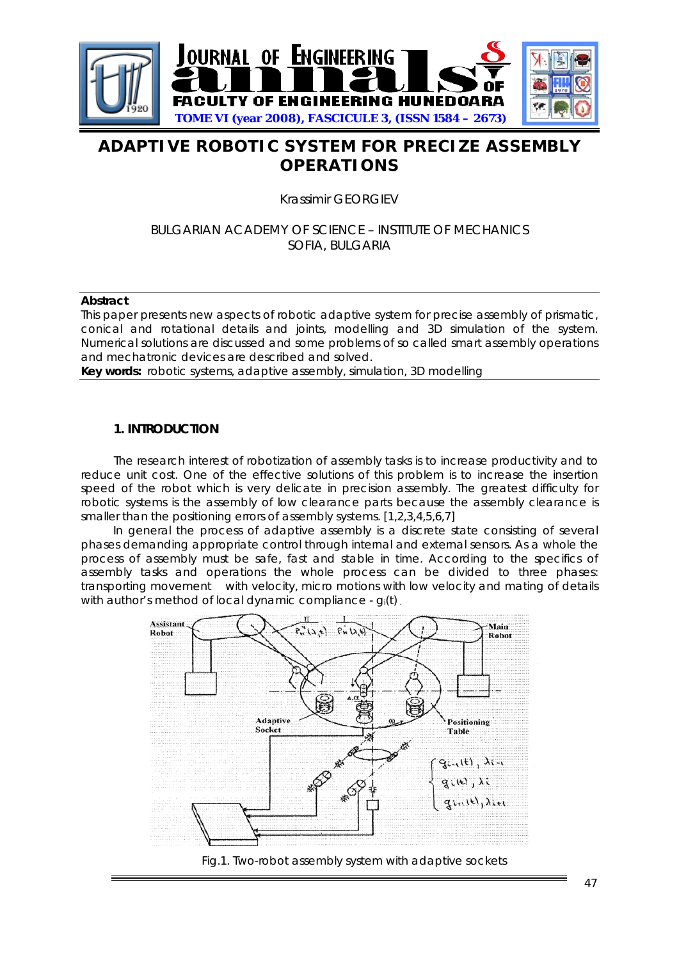

# **ADAPTIVE ROBOTIC SYSTEM FOR PRECIZE ASSEMBLY OPERATIONS**

Krassimir GEORGIEV

# BULGARIAN ACADEMY OF SCIENCE – INSTITUTE OF MECHANICS SOFIA, BULGARIA

#### **Abstract**

This paper presents new aspects of robotic adaptive system for precise assembly of prismatic, conical and rotational details and joints, modelling and 3D simulation of the system. Numerical solutions are discussed and some problems of so called smart assembly operations and mechatronic devices are described and solved.

**Key words:** robotic systems, adaptive assembly, simulation, 3D modelling

#### **1. INTRODUCTION**

The research interest of robotization of assembly tasks is to increase productivity and to reduce unit cost. One of the effective solutions of this problem is to increase the insertion speed of the robot which is very delicate in precision assembly. The greatest difficulty for robotic systems is the assembly of low clearance parts because the assembly clearance is smaller than the positioning errors of assembly systems. [1,2,3,4,5,6,7]

 In general the process of adaptive assembly is a discrete state consisting of several phases demanding appropriate control through internal and external sensors. As a whole the process of assembly must be safe, fast and stable in time. According to the specifics of assembly tasks and operations the whole process can be divided to three phases: transporting movement with velocity, micro motions with low velocity and mating of details with author's method of local dynamic compliance - g<sub>i</sub>(t).



Fig.1. Two-robot assembly system with adaptive sockets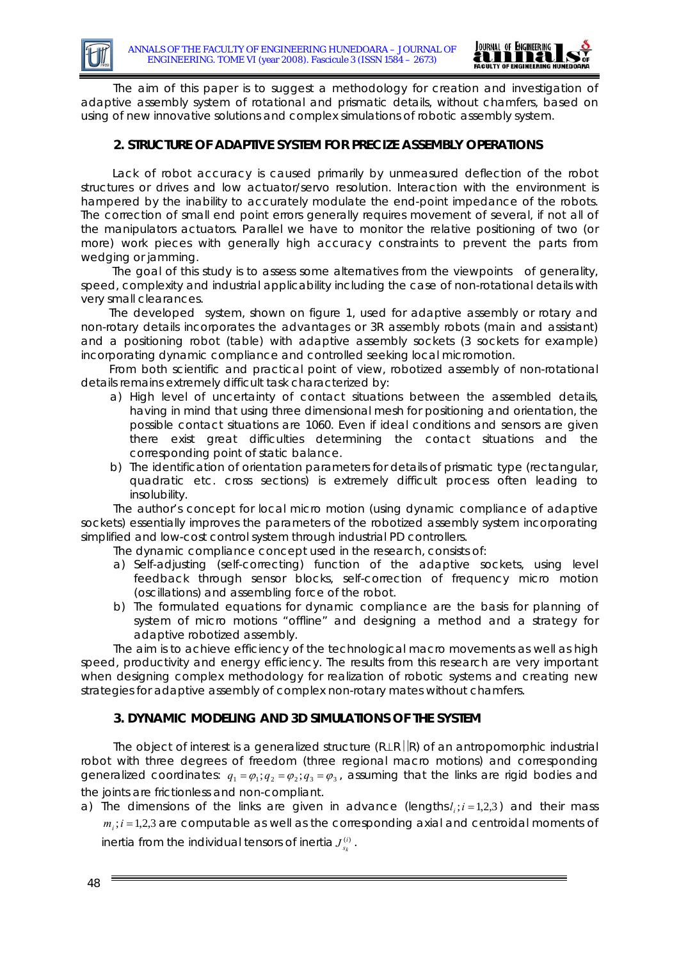

 The aim of this paper is to suggest a methodology for creation and investigation of adaptive assembly system of rotational and prismatic details, without chamfers, based on using of new innovative solutions and complex simulations of robotic assembly system.

### **2. STRUCTURE OF ADAPTIVE SYSTEM FOR PRECIZE ASSEMBLY OPERATIONS**

 Lack of robot accuracy is caused primarily by unmeasured deflection of the robot structures or drives and low actuator/servo resolution. Interaction with the environment is hampered by the inability to accurately modulate the end-point impedance of the robots. The correction of small end point errors generally requires movement of several, if not all of the manipulators actuators. Parallel we have to monitor the relative positioning of two (or more) work pieces with generally high accuracy constraints to prevent the parts from wedging or jamming.

 The goal of this study is to assess some alternatives from the viewpoints of generality, speed, complexity and industrial applicability including the case of non-rotational details with very small clearances.

 The developed system, shown on figure 1, used for adaptive assembly or rotary and non-rotary details incorporates the advantages or 3R assembly robots (main and assistant) and a positioning robot (table) with adaptive assembly sockets (3 sockets for example) incorporating dynamic compliance and controlled seeking local micromotion.

 From both scientific and practical point of view, robotized assembly of non-rotational details remains extremely difficult task characterized by:

- a) High level of uncertainty of contact situations between the assembled details, having in mind that using three dimensional mesh for positioning and orientation, the possible contact situations are 1060. Even if ideal conditions and sensors are given there exist great difficulties determining the contact situations and the corresponding point of static balance.
- b) The identification of orientation parameters for details of prismatic type (rectangular, quadratic etc. cross sections) is extremely difficult process often leading to insolubility.

The author's concept for local micro motion (using dynamic compliance of adaptive sockets) essentially improves the parameters of the robotized assembly system incorporating simplified and low-cost control system through industrial PD controllers.

The dynamic compliance concept used in the research, consists of:

- a) Self-adjusting (self-correcting) function of the adaptive sockets, using level feedback through sensor blocks, self-correction of frequency micro motion (oscillations) and assembling force of the robot.
- b) The formulated equations for dynamic compliance are the basis for planning of system of micro motions "offline" and designing a method and a strategy for adaptive robotized assembly.

The aim is to achieve efficiency of the technological macro movements as well as high speed, productivity and energy efficiency. The results from this research are very important when designing complex methodology for realization of robotic systems and creating new strategies for adaptive assembly of complex non-rotary mates without chamfers.

# **3. DYNAMIC MODELING AND 3D SIMULATIONS OF THE SYSTEM**

The object of interest is a generalized structure (R⊥R | R) of an antropomorphic industrial robot with three degrees of freedom (three regional macro motions) and corresponding generalized coordinates:  $q_1 = \varphi_1; q_2 = \varphi_2; q_3 = \varphi_3$ , assuming that the links are rigid bodies and the joints are frictionless and non-compliant.

a) The dimensions of the links are given in advance (lengths $l_i$ ; $i = 1,2,3$ ) and their mass  $m<sub>i</sub>; i = 1,2,3$  are computable as well as the corresponding axial and centroidal moments of inertia from the individual tensors of inertia  $J_{s_k}^{(i)}$  .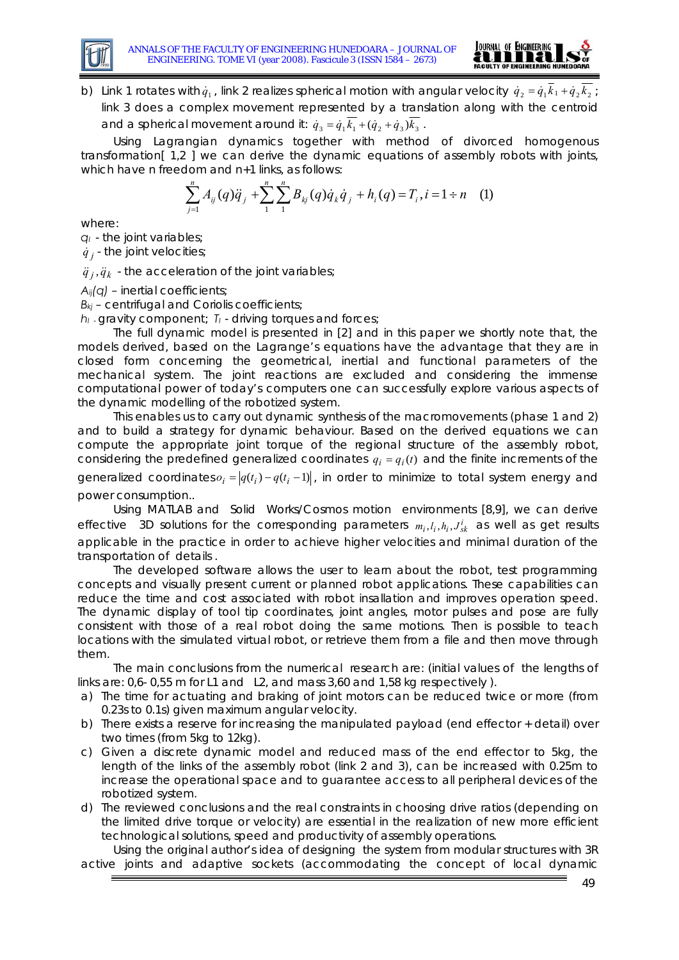



b) Link 1 rotates with  $\dot{q}_1$ , link 2 realizes spherical motion with angular velocity  $\dot{q}_2 = \dot{q}_1 k_1 + \dot{q}_2 k_2$ ; link 3 does a complex movement represented by a translation along with the centroid and a spherical movement around it:  $\dot{q}_3 = \dot{q}_1 \overline{k_1} + (\dot{q}_2 + \dot{q}_3)\overline{k_3}$ .

Using Lagrangian dynamics together with method of divorced homogenous transformation[ 1,2 ] we can derive the dynamic equations of assembly robots with joints, which have n freedom and n+1 links, as follows:

$$
\sum_{j=1}^{n} A_{ij}(q)\ddot{q}_j + \sum_{1}^{n} \sum_{1}^{n} B_{kj}(q)\dot{q}_k \dot{q}_j + h_i(q) = T_i, i = 1 \div n \quad (1)
$$

where:

*qI* - the joint variables;

 $\dot{q}$ , the joint velocities;

 $\ddot{q}_i$ ,  $\ddot{q}_k$  - the acceleration of the joint variables;

*Aij(q)* – inertial coefficients;

*Bkj* – centrifugal and Coriolis coefficients;

*hI* - gravity component; *TI* - driving torques and forces;

The full dynamic model is presented in [2] and in this paper we shortly note that, the models derived, based on the Lagrange's equations have the advantage that they are in closed form concerning the geometrical, inertial and functional parameters of the mechanical system. The joint reactions are excluded and considering the immense computational power of today's computers one can successfully explore various aspects of the dynamic modelling of the robotized system.

This enables us to carry out dynamic synthesis of the macromovements (phase 1 and 2) and to build a strategy for dynamic behaviour. Based on the derived equations we can compute the appropriate joint torque of the regional structure of the assembly robot, considering the predefined generalized coordinates  $q_i = q_i(t)$  and the finite increments of the

generalized coordinates  $o_i = |q(t_i) - q(t_i - 1)|$ , in order to minimize to total system energy and power consumption..

Using MATLAB and Solid Works/Cosmos motion environments [8,9], we can derive effective 3D solutions for the corresponding parameters  $m_i, l_i, h_i, J_{sk}^i$  as well as get results applicable in the practice in order to achieve higher velocities and minimal duration of the transportation of details .

The developed software allows the user to learn about the robot, test programming concepts and visually present current or planned robot applications. These capabilities can reduce the time and cost associated with robot insallation and improves operation speed. The dynamic display of tool tip coordinates, joint angles, motor pulses and pose are fully consistent with those of a real robot doing the same motions. Then is possible to teach locations with the simulated virtual robot, or retrieve them from a file and then move through them.

The main conclusions from the numerical research are: (initial values of the lengths of links are: 0,6- 0,55 m for L1 and L2, and mass 3,60 and 1,58 kg respectively ).

- a) The time for actuating and braking of joint motors can be reduced twice or more (from 0.23s to 0.1s) given maximum angular velocity.
- b) There exists a reserve for increasing the manipulated payload (end effector + detail) over two times (from 5kg to 12kg).
- c) Given a discrete dynamic model and reduced mass of the end effector to 5kg, the length of the links of the assembly robot (link 2 and 3), can be increased with 0.25m to increase the operational space and to guarantee access to all peripheral devices of the robotized system.
- d) The reviewed conclusions and the real constraints in choosing drive ratios (depending on the limited drive torque or velocity) are essential in the realization of new more efficient technological solutions, speed and productivity of assembly operations.

Using the original author's idea of designing the system from modular structures with 3R active joints and adaptive sockets (accommodating the concept of local dynamic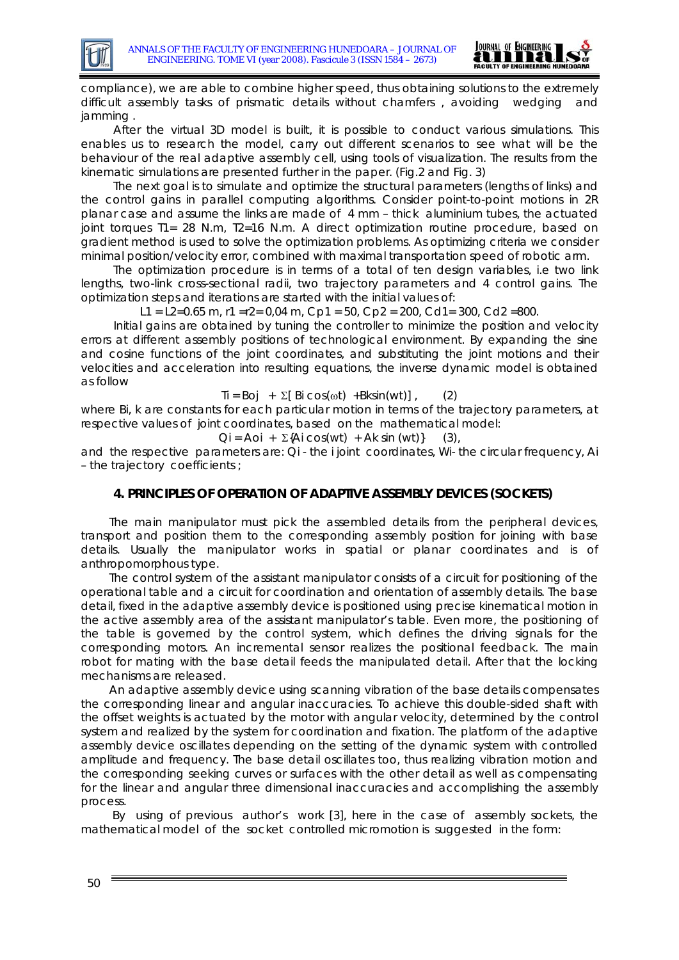

compliance), we are able to combine higher speed, thus obtaining solutions to the extremely difficult assembly tasks of prismatic details without chamfers , avoiding wedging and jamming .

After the virtual 3D model is built, it is possible to conduct various simulations. This enables us to research the model, carry out different scenarios to see what will be the behaviour of the real adaptive assembly cell, using tools of visualization. The results from the kinematic simulations are presented further in the paper. (Fig.2 and Fig. 3)

The next goal is to simulate and optimize the structural parameters (lengths of links) and the control gains in parallel computing algorithms. Consider point-to-point motions in 2R planar case and assume the links are made of 4 mm – thick aluminium tubes, the actuated joint torques T1= 28 N.m, T2=16 N.m. A direct optimization routine procedure, based on gradient method is used to solve the optimization problems. As optimizing criteria we consider minimal position/velocity error, combined with maximal transportation speed of robotic arm.

The optimization procedure is in terms of a total of ten design variables, i.e two link lengths, two-link cross-sectional radii, two trajectory parameters and 4 control gains. The optimization steps and iterations are started with the initial values of:

L1 = L2=0.65 m, r1 = r2 = 0,04 m, Cp1 = 50, Cp2 = 200, Cd1 = 300, Cd2 = 800.

Initial gains are obtained by tuning the controller to minimize the position and velocity errors at different assembly positions of technological environment. By expanding the sine and cosine functions of the joint coordinates, and substituting the joint motions and their velocities and acceleration into resulting equations, the inverse dynamic model is obtained as follow

 $\text{Ti} = \text{Boj} + \Sigma \text{[Bi cos}(\omega t) + \text{Bksin}(\text{wt}) \text{]}$  (2)

where Bi, k are constants for each particular motion in terms of the trajectory parameters, at respective values of joint coordinates, based on the mathematical model:

 $Qi = Aoi + \Sigma{Ai}\cos(wt) + Ak\sin(wt)$  (3),

and the respective parameters are: Qi - the i joint coordinates, Wi- the circular frequency, Ai – the trajectory coefficients ;

# **4. PRINCIPLES OF OPERATION OF ADAPTIVE ASSEMBLY DEVICES (SOCKETS)**

 The main manipulator must pick the assembled details from the peripheral devices, transport and position them to the corresponding assembly position for joining with base details. Usually the manipulator works in spatial or planar coordinates and is of anthropomorphous type.

 The control system of the assistant manipulator consists of a circuit for positioning of the operational table and a circuit for coordination and orientation of assembly details. The base detail, fixed in the adaptive assembly device is positioned using precise kinematical motion in the active assembly area of the assistant manipulator's table. Even more, the positioning of the table is governed by the control system, which defines the driving signals for the corresponding motors. An incremental sensor realizes the positional feedback. The main robot for mating with the base detail feeds the manipulated detail. After that the locking mechanisms are released.

 An adaptive assembly device using scanning vibration of the base details compensates the corresponding linear and angular inaccuracies. To achieve this double-sided shaft with the offset weights is actuated by the motor with angular velocity, determined by the control system and realized by the system for coordination and fixation. The platform of the adaptive assembly device oscillates depending on the setting of the dynamic system with controlled amplitude and frequency. The base detail oscillates too, thus realizing vibration motion and the corresponding seeking curves or surfaces with the other detail as well as compensating for the linear and angular three dimensional inaccuracies and accomplishing the assembly process.

 By using of previous author's work [3], here in the case of assembly sockets, the mathematical model of the socket controlled micromotion is suggested in the form: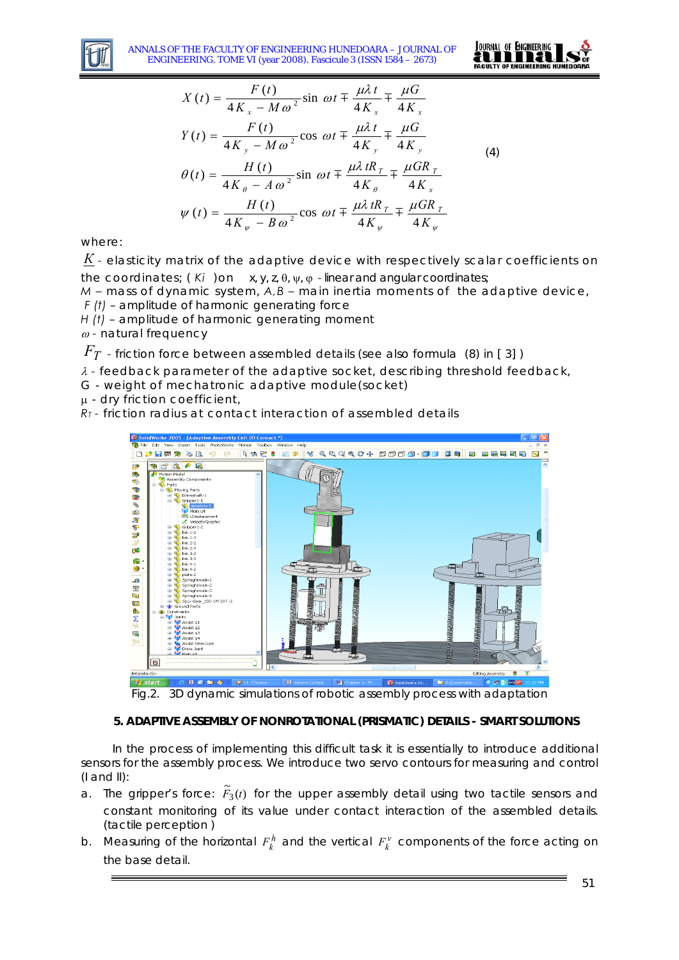

ANNALS OF THE FACULTY OF ENGINEERING HUNEDOARA – JOURNAL OF ENGINEERING. TOME VI (year 2008). Fascicule 3 (ISSN 1584 – 2673)



$$
X(t) = \frac{F(t)}{4K_x - M\omega^2} \sin \omega t \mp \frac{\mu \lambda t}{4K_x} \mp \frac{\mu G}{4K_x}
$$
  
\n
$$
Y(t) = \frac{F(t)}{4K_y - M\omega^2} \cos \omega t \mp \frac{\mu \lambda t}{4K_y} \mp \frac{\mu G}{4K_y}
$$
  
\n
$$
\theta(t) = \frac{H(t)}{4K_\theta - A\omega^2} \sin \omega t \mp \frac{\mu \lambda t R_T}{4K_\theta} \mp \frac{\mu G R_T}{4K_x}
$$
  
\n
$$
\psi(t) = \frac{H(t)}{4K_y - B\omega^2} \cos \omega t \mp \frac{\mu \lambda t R_T}{4K_y} \mp \frac{\mu G R_T}{4K_y}
$$
 (4)

where:

*К -* elasticity matrix of the adaptive device with respectively scalar coefficients on the coordinates; ( *Ki* )on x, y, z, θ, ψ, ϕ *-* linear and angular coordinates;

*М –* mass of dynamic system, *A,B –* main inertia moments of the adaptive device, *F (t)* – amplitude of harmonic generating force

*H (t)* – amplitude of harmonic generating moment

<sup>ω</sup> *-* natural frequency

*F<sub>T</sub>* - friction force between assembled details (see also formula (8) in [3])

λ *-* feedback parameter of the adaptive socket, describing threshold feedback,

G - weight of mechatronic adaptive module(socket)

μ - dry friction coefficient,

*RT -* friction radius at contact interaction of assembled details



Fig.2. 3D dynamic simulations of robotic assembly process with adaptation

### **5. ADAPTIVE ASSEMBLY OF NONROTATIONAL (PRISMATIC) DETAILS - SMART SOLUTIONS**

 In the process of implementing this difficult task it is essentially to introduce additional sensors for the assembly process. We introduce two servo contours for measuring and control  $(I \text{ and } II)$ :

- a. The gripper's force:  $\tilde{F}_3(t)$  for the upper assembly detail using two tactile sensors and constant monitoring of its value under contact interaction of the assembled details. (tactile perception )
- b. Measuring of the horizontal  $F_k^h$  and the vertical  $F_k^v$  components of the force acting on the base detail.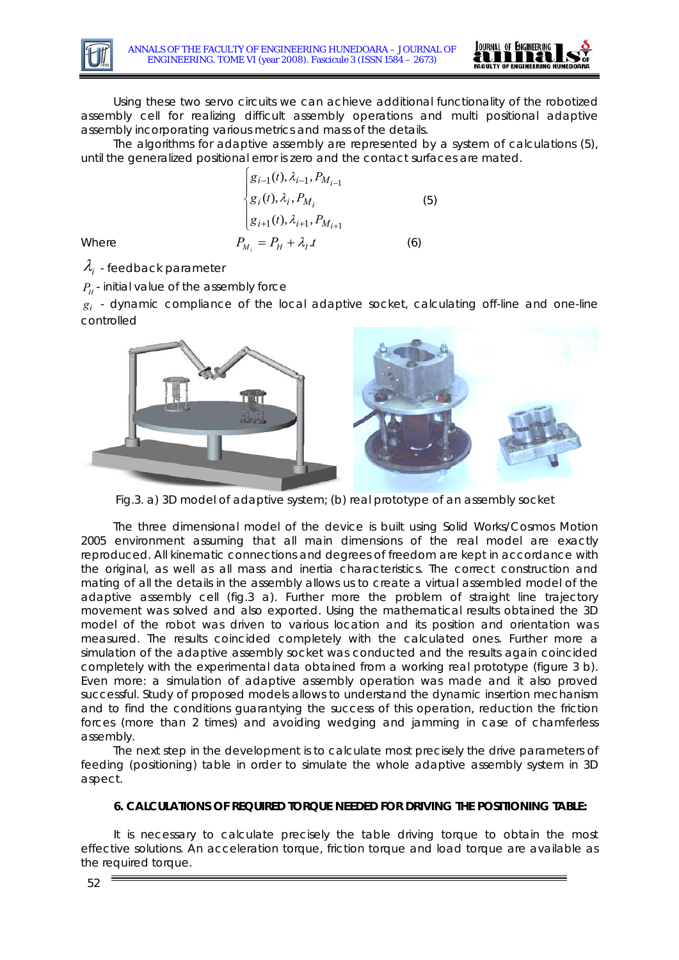



Using these two servo circuits we can achieve additional functionality of the robotized assembly cell for realizing difficult assembly operations and multi positional adaptive assembly incorporating various metrics and mass of the details.

The algorithms for adaptive assembly are represented by a system of calculations (5), until the generalized positional error is zero and the contact surfaces are mated.

Where  
\n
$$
\begin{cases}\ng_{i-1}(t), \lambda_{i-1}, P_{M_{i-1}} \\
g_i(t), \lambda_i, P_{M_i} \\
g_{i+1}(t), \lambda_{i+1}, P_{M_{i+1}}\n\end{cases}
$$
\n(5)  
\nWhere  
\n
$$
P_{M_i} = P_H + \lambda_I.t
$$
\n(6)

 $\lambda_i$  - feedback parameter

 $P_\mu$  - initial value of the assembly force

 $g_i$  - dynamic compliance of the local adaptive socket, calculating off-line and one-line controlled



Fig.3. a) 3D model of adaptive system; (b) real prototype of an assembly socket

The three dimensional model of the device is built using Solid Works/Cosmos Motion 2005 environment assuming that all main dimensions of the real model are exactly reproduced. All kinematic connections and degrees of freedom are kept in accordance with the original, as well as all mass and inertia characteristics. The correct construction and mating of all the details in the assembly allows us to create a virtual assembled model of the adaptive assembly cell (fig.3 a). Further more the problem of straight line trajectory movement was solved and also exported. Using the mathematical results obtained the 3D model of the robot was driven to various location and its position and orientation was measured. The results coincided completely with the calculated ones. Further more a simulation of the adaptive assembly socket was conducted and the results again coincided completely with the experimental data obtained from a working real prototype (figure 3 b). Even more: a simulation of adaptive assembly operation was made and it also proved successful. Study of proposed models allows to understand the dynamic insertion mechanism and to find the conditions guarantying the success of this operation, reduction the friction forces (more than 2 times) and avoiding wedging and jamming in case of chamferless assembly.

The next step in the development is to calculate most precisely the drive parameters of feeding (positioning) table in order to simulate the whole adaptive assembly system in 3D aspect.

### **6. CALCULATIONS OF REQUIRED TORQUE NEEDED FOR DRIVING THE POSITIONING TABLE:**

It is necessary to calculate precisely the table driving torque to obtain the most effective solutions. An acceleration torque, friction torque and load torque are available as the required torque.